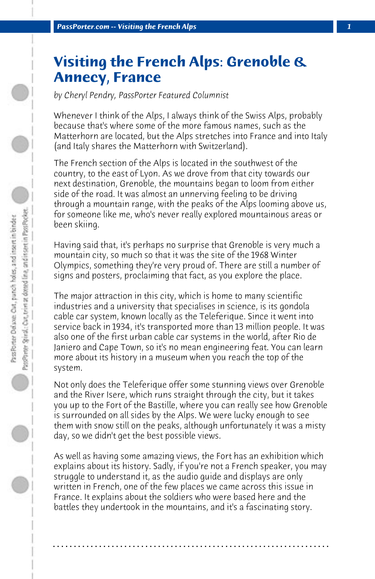## **Visiting the French Alps: Grenoble & Annecy, France**

*by Cheryl Pendry, PassPorter Featured Columnist*

Whenever I think of the Alps, I always think of the Swiss Alps, probably because that's where some of the more famous names, such as the Matterhorn are located, but the Alps stretches into France and into Italy (and Italy shares the Matterhorn with Switzerland).

The French section of the Alps is located in the southwest of the country, to the east of Lyon. As we drove from that city towards our next destination, Grenoble, the mountains began to loom from either side of the road. It was almost an unnerving feeling to be driving through a mountain range, with the peaks of the Alps looming above us, for someone like me, who's never really explored mountainous areas or been skiing.

Having said that, it's perhaps no surprise that Grenoble is very much a mountain city, so much so that it was the site of the 1968 Winter Olympics, something they're very proud of. There are still a number of signs and posters, proclaiming that fact, as you explore the place.

The major attraction in this city, which is home to many scientific industries and a university that specialises in science, is its gondola cable car system, known locally as the Teleferique. Since it went into service back in 1934, it's transported more than 13 million people. It was also one of the first urban cable car systems in the world, after Rio de Janiero and Cape Town, so it's no mean engineering feat. You can learn more about its history in a museum when you reach the top of the system.

Not only does the Teleferique offer some stunning views over Grenoble and the River Isere, which runs straight through the city, but it takes you up to the Fort of the Bastille, where you can really see how Grenoble is surrounded on all sides by the Alps. We were lucky enough to see them with snow still on the peaks, although unfortunately it was a misty day, so we didn't get the best possible views.

As well as having some amazing views, the Fort has an exhibition which explains about its history. Sadly, if you're not a French speaker, you may struggle to understand it, as the audio guide and displays are only written in French, one of the few places we came across this issue in France. It explains about the soldiers who were based here and the battles they undertook in the mountains, and it's a fascinating story.

**. . . . . . . . . . . . . . . . . . . . . . . . . . . . . . . . . . . . . . . . . . . . . . . . . . . . . . . . . . . . . . . . . .**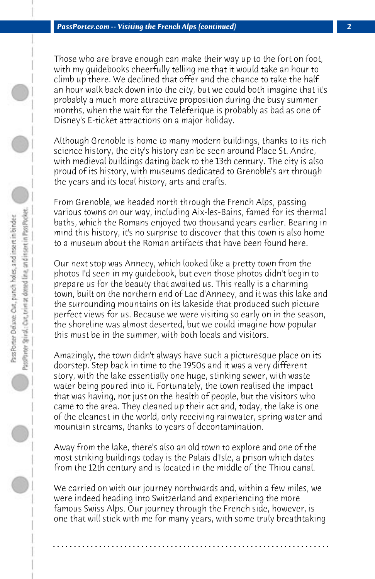Those who are brave enough can make their way up to the fort on foot, with my guidebooks cheerfully telling me that it would take an hour to climb up there. We declined that offer and the chance to take the half an hour walk back down into the city, but we could both imagine that it's probably a much more attractive proposition during the busy summer months, when the wait for the Teleferique is probably as bad as one of Disney's E-ticket attractions on a major holiday.

Although Grenoble is home to many modern buildings, thanks to its rich science history, the city's history can be seen around Place St. Andre, with medieval buildings dating back to the 13th century. The city is also proud of its history, with museums dedicated to Grenoble's art through the years and its local history, arts and crafts.

From Grenoble, we headed north through the French Alps, passing various towns on our way, including Aix-les-Bains, famed for its thermal baths, which the Romans enjoyed two thousand years earlier. Bearing in mind this history, it's no surprise to discover that this town is also home to a museum about the Roman artifacts that have been found here.

Our next stop was Annecy, which looked like a pretty town from the photos I'd seen in my guidebook, but even those photos didn't begin to prepare us for the beauty that awaited us. This really is a charming town, built on the northern end of Lac d'Annecy, and it was this lake and the surrounding mountains on its lakeside that produced such picture perfect views for us. Because we were visiting so early on in the season, the shoreline was almost deserted, but we could imagine how popular this must be in the summer, with both locals and visitors.

Amazingly, the town didn't always have such a picturesque place on its doorstep. Step back in time to the 1950s and it was a very different story, with the lake essentially one huge, stinking sewer, with waste water being poured into it. Fortunately, the town realised the impact that was having, not just on the health of people, but the visitors who came to the area. They cleaned up their act and, today, the lake is one of the cleanest in the world, only receiving rainwater, spring water and mountain streams, thanks to years of decontamination.

Away from the lake, there's also an old town to explore and one of the most striking buildings today is the Palais d'Isle, a prison which dates from the 12th century and is located in the middle of the Thiou canal.

We carried on with our journey northwards and, within a few miles, we were indeed heading into Switzerland and experiencing the more famous Swiss Alps. Our journey through the French side, however, is one that will stick with me for many years, with some truly breathtaking

**. . . . . . . . . . . . . . . . . . . . . . . . . . . . . . . . . . . . . . . . . . . . . . . . . . . . . . . . . . . . . . . . . .**